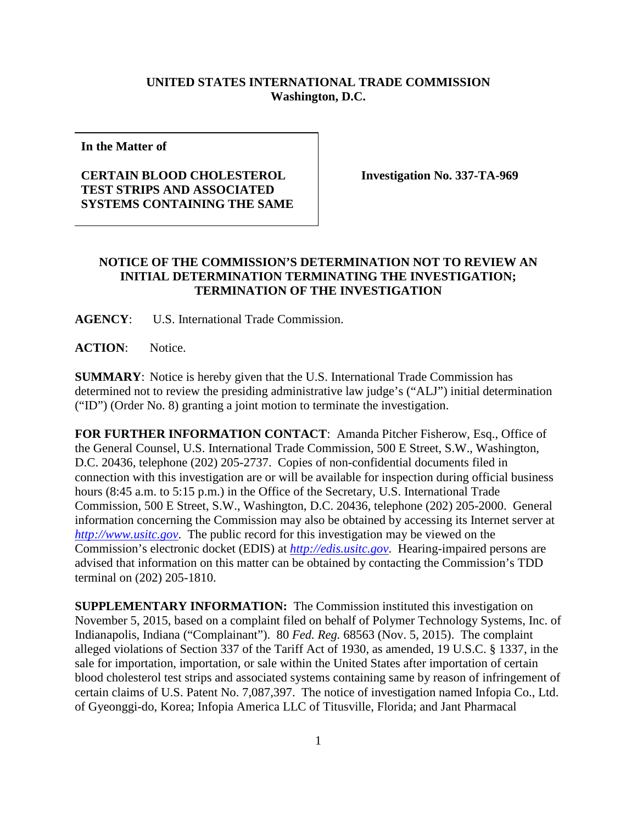## **UNITED STATES INTERNATIONAL TRADE COMMISSION Washington, D.C.**

**In the Matter of**

## **CERTAIN BLOOD CHOLESTEROL TEST STRIPS AND ASSOCIATED SYSTEMS CONTAINING THE SAME**

**Investigation No. 337-TA-969**

## **NOTICE OF THE COMMISSION'S DETERMINATION NOT TO REVIEW AN INITIAL DETERMINATION TERMINATING THE INVESTIGATION; TERMINATION OF THE INVESTIGATION**

**AGENCY**: U.S. International Trade Commission.

**ACTION**: Notice.

**SUMMARY**: Notice is hereby given that the U.S. International Trade Commission has determined not to review the presiding administrative law judge's ("ALJ") initial determination ("ID") (Order No. 8) granting a joint motion to terminate the investigation.

**FOR FURTHER INFORMATION CONTACT**: Amanda Pitcher Fisherow, Esq., Office of the General Counsel, U.S. International Trade Commission, 500 E Street, S.W., Washington, D.C. 20436, telephone (202) 205-2737. Copies of non-confidential documents filed in connection with this investigation are or will be available for inspection during official business hours (8:45 a.m. to 5:15 p.m.) in the Office of the Secretary, U.S. International Trade Commission, 500 E Street, S.W., Washington, D.C. 20436, telephone (202) 205-2000. General information concerning the Commission may also be obtained by accessing its Internet server at *[http://www.usitc.gov](http://www.usitc.gov/)*. The public record for this investigation may be viewed on the Commission's electronic docket (EDIS) at *[http://edis.usitc.gov](http://edis.usitc.gov/)*. Hearing-impaired persons are advised that information on this matter can be obtained by contacting the Commission's TDD terminal on (202) 205-1810.

**SUPPLEMENTARY INFORMATION:** The Commission instituted this investigation on November 5, 2015, based on a complaint filed on behalf of Polymer Technology Systems, Inc. of Indianapolis, Indiana ("Complainant"). 80 *Fed. Reg.* 68563 (Nov. 5, 2015). The complaint alleged violations of Section 337 of the Tariff Act of 1930, as amended, 19 U.S.C. § 1337, in the sale for importation, importation, or sale within the United States after importation of certain blood cholesterol test strips and associated systems containing same by reason of infringement of certain claims of U.S. Patent No. 7,087,397. The notice of investigation named Infopia Co., Ltd. of Gyeonggi-do, Korea; Infopia America LLC of Titusville, Florida; and Jant Pharmacal